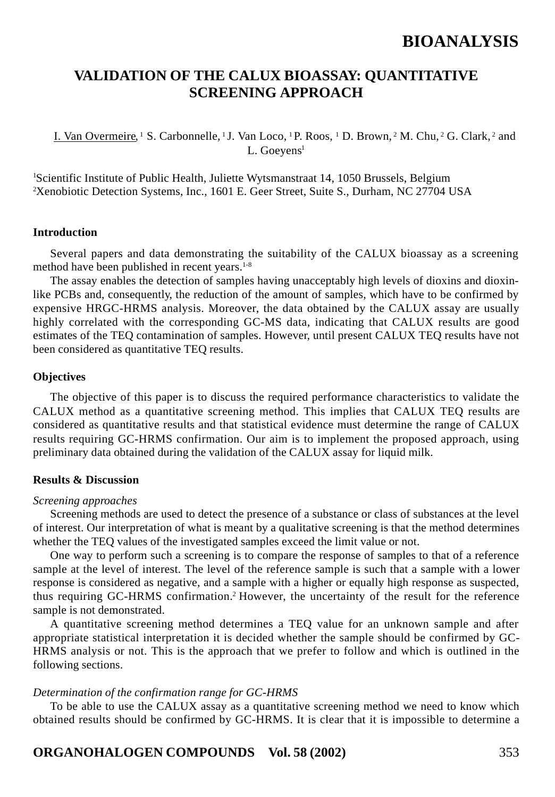# **VALIDATION OF THE CALUX BIOASSAY: QUANTITATIVE SCREENING APPROACH**

I. Van Overmeire, 1 S. Carbonnelle, 1 J. Van Loco, 1 P. Roos, 1 D. Brown, 2 M. Chu, 2 G. Clark, 2 and L. Goeyens<sup>1</sup>

<sup>1</sup>Scientific Institute of Public Health, Juliette Wytsmanstraat 14, 1050 Brussels, Belgium 2 Xenobiotic Detection Systems, Inc., 1601 E. Geer Street, Suite S., Durham, NC 27704 USA

#### **Introduction**

Several papers and data demonstrating the suitability of the CALUX bioassay as a screening method have been published in recent years.<sup>1-8</sup>

The assay enables the detection of samples having unacceptably high levels of dioxins and dioxinlike PCBs and, consequently, the reduction of the amount of samples, which have to be confirmed by expensive HRGC-HRMS analysis. Moreover, the data obtained by the CALUX assay are usually highly correlated with the corresponding GC-MS data, indicating that CALUX results are good estimates of the TEQ contamination of samples. However, until present CALUX TEQ results have not been considered as quantitative TEQ results.

## **Objectives**

The objective of this paper is to discuss the required performance characteristics to validate the CALUX method as a quantitative screening method. This implies that CALUX TEQ results are considered as quantitative results and that statistical evidence must determine the range of CALUX results requiring GC-HRMS confirmation. Our aim is to implement the proposed approach, using preliminary data obtained during the validation of the CALUX assay for liquid milk.

### **Results & Discussion**

#### *Screening approaches*

Screening methods are used to detect the presence of a substance or class of substances at the level of interest. Our interpretation of what is meant by a qualitative screening is that the method determines whether the TEQ values of the investigated samples exceed the limit value or not.

One way to perform such a screening is to compare the response of samples to that of a reference sample at the level of interest. The level of the reference sample is such that a sample with a lower response is considered as negative, and a sample with a higher or equally high response as suspected, thus requiring GC-HRMS confirmation.2 However, the uncertainty of the result for the reference sample is not demonstrated.

A quantitative screening method determines a TEQ value for an unknown sample and after appropriate statistical interpretation it is decided whether the sample should be confirmed by GC-HRMS analysis or not. This is the approach that we prefer to follow and which is outlined in the following sections.

### *Determination of the confirmation range for GC-HRMS*

To be able to use the CALUX assay as a quantitative screening method we need to know which obtained results should be confirmed by GC-HRMS. It is clear that it is impossible to determine a

**ORGANOHALOGEN COMPOUNDS Vol. 58 (2002)** 353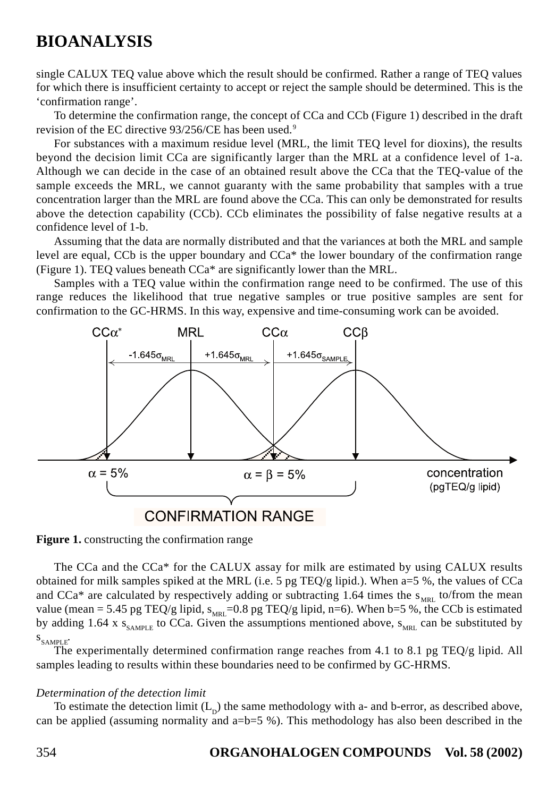single CALUX TEQ value above which the result should be confirmed. Rather a range of TEQ values for which there is insufficient certainty to accept or reject the sample should be determined. This is the 'confirmation range'.

To determine the confirmation range, the concept of CCa and CCb (Figure 1) described in the draft revision of the EC directive 93/256/CE has been used.<sup>9</sup>

For substances with a maximum residue level (MRL, the limit TEQ level for dioxins), the results beyond the decision limit CCa are significantly larger than the MRL at a confidence level of 1-a. Although we can decide in the case of an obtained result above the CCa that the TEQ-value of the sample exceeds the MRL, we cannot guaranty with the same probability that samples with a true concentration larger than the MRL are found above the CCa. This can only be demonstrated for results above the detection capability (CCb). CCb eliminates the possibility of false negative results at a confidence level of 1-b.

Assuming that the data are normally distributed and that the variances at both the MRL and sample level are equal, CCb is the upper boundary and CCa\* the lower boundary of the confirmation range (Figure 1). TEQ values beneath CCa\* are significantly lower than the MRL.

Samples with a TEQ value within the confirmation range need to be confirmed. The use of this range reduces the likelihood that true negative samples or true positive samples are sent for confirmation to the GC-HRMS. In this way, expensive and time-consuming work can be avoided.



**Figure 1.** constructing the confirmation range

The CCa and the CCa\* for the CALUX assay for milk are estimated by using CALUX results obtained for milk samples spiked at the MRL (i.e. 5 pg TEQ/g lipid.). When a=5 %, the values of CCa and CCa\* are calculated by respectively adding or subtracting 1.64 times the  $s_{MRL}$  to/from the mean value (mean = 5.45 pg TEQ/g lipid,  $s_{MRL}=0.8$  pg TEQ/g lipid, n=6). When b=5 %, the CCb is estimated by adding 1.64 x  $S_{SAMPIE}$  to CCa. Given the assumptions mentioned above,  $S_{MRL}$  can be substituted by  $S_{SAMPIE}$ .

The experimentally determined confirmation range reaches from 4.1 to 8.1 pg TEQ/g lipid. All samples leading to results within these boundaries need to be confirmed by GC-HRMS.

# *Determination of the detection limit*

To estimate the detection limit  $(L<sub>p</sub>)$  the same methodology with a- and b-error, as described above, can be applied (assuming normality and a=b=5 %). This methodology has also been described in the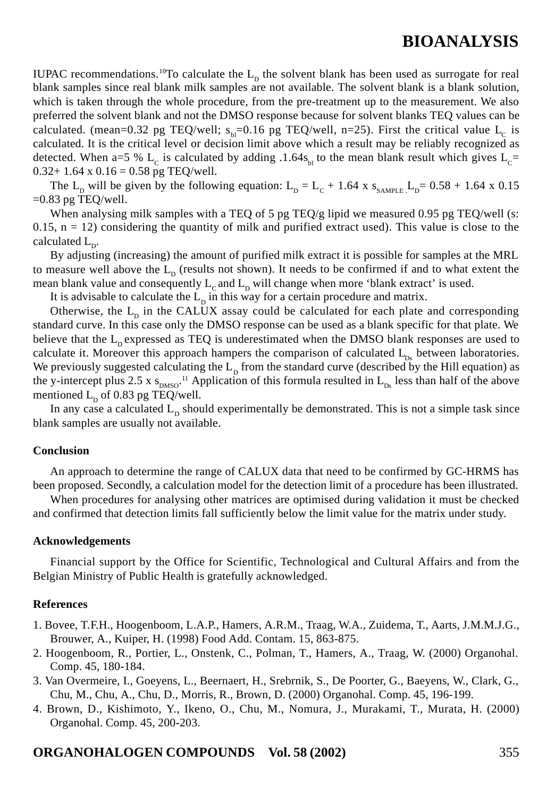IUPAC recommendations.<sup>10</sup>To calculate the  $L<sub>p</sub>$  the solvent blank has been used as surrogate for real blank samples since real blank milk samples are not available. The solvent blank is a blank solution, which is taken through the whole procedure, from the pre-treatment up to the measurement. We also preferred the solvent blank and not the DMSO response because for solvent blanks TEQ values can be calculated. (mean=0.32 pg TEQ/well;  $s<sub>bl</sub>=0.16$  pg TEQ/well, n=25). First the critical value  $L_c$  is calculated. It is the critical level or decision limit above which a result may be reliably recognized as detected. When a=5 % L<sub>c</sub> is calculated by adding .1.64s<sub>b</sub>, to the mean blank result which gives L<sub>c</sub>=  $0.32+1.64 \times 0.16 = 0.58$  pg TEQ/well.

The L<sub>D</sub> will be given by the following equation: L<sub>D</sub> = L<sub>C</sub> + 1.64 x s<sub>SAMPLE</sub> L<sub>D</sub>= 0.58 + 1.64 x 0.15  $=0.83$  pg TEO/well.

When analysing milk samples with a TEQ of 5 pg TEQ/g lipid we measured 0.95 pg TEQ/well (s:  $0.15$ ,  $n = 12$ ) considering the quantity of milk and purified extract used). This value is close to the calculated  $L_{p}$ .

By adjusting (increasing) the amount of purified milk extract it is possible for samples at the MRL to measure well above the  $L<sub>D</sub>$  (results not shown). It needs to be confirmed if and to what extent the mean blank value and consequently  $L_c$  and  $L_p$  will change when more 'blank extract' is used.

It is advisable to calculate the  $L_p$  in this way for a certain procedure and matrix.

Otherwise, the  $L<sub>p</sub>$  in the CALUX assay could be calculated for each plate and corresponding standard curve. In this case only the DMSO response can be used as a blank specific for that plate. We believe that the  $L_p$  expressed as TEQ is underestimated when the DMSO blank responses are used to calculate it. Moreover this approach hampers the comparison of calculated  $L_{p_s}$  between laboratories. We previously suggested calculating the  $L<sub>p</sub>$  from the standard curve (described by the Hill equation) as the y-intercept plus 2.5 x  $s_{DMSO}$ .<sup>11</sup> Application of this formula resulted in  $L_{Ds}$  less than half of the above mentioned  $L_p$  of 0.83 pg TEQ/well.

In any case a calculated  $L<sub>p</sub>$  should experimentally be demonstrated. This is not a simple task since blank samples are usually not available.

## **Conclusion**

An approach to determine the range of CALUX data that need to be confirmed by GC-HRMS has been proposed. Secondly, a calculation model for the detection limit of a procedure has been illustrated.

When procedures for analysing other matrices are optimised during validation it must be checked and confirmed that detection limits fall sufficiently below the limit value for the matrix under study.

## **Acknowledgements**

Financial support by the Office for Scientific, Technological and Cultural Affairs and from the Belgian Ministry of Public Health is gratefully acknowledged.

## **References**

- 1. Bovee, T.F.H., Hoogenboom, L.A.P., Hamers, A.R.M., Traag, W.A., Zuidema, T., Aarts, J.M.M.J.G., Brouwer, A., Kuiper, H. (1998) Food Add. Contam. 15, 863-875.
- 2. Hoogenboom, R., Portier, L., Onstenk, C., Polman, T., Hamers, A., Traag, W. (2000) Organohal. Comp. 45, 180-184.
- 3. Van Overmeire, I., Goeyens, L., Beernaert, H., Srebrnik, S., De Poorter, G., Baeyens, W., Clark, G., Chu, M., Chu, A., Chu, D., Morris, R., Brown, D. (2000) Organohal. Comp. 45, 196-199.
- 4. Brown, D., Kishimoto, Y., Ikeno, O., Chu, M., Nomura, J., Murakami, T., Murata, H. (2000) Organohal. Comp. 45, 200-203.

# **ORGANOHALOGEN COMPOUNDS Vol. 58 (2002)** 355